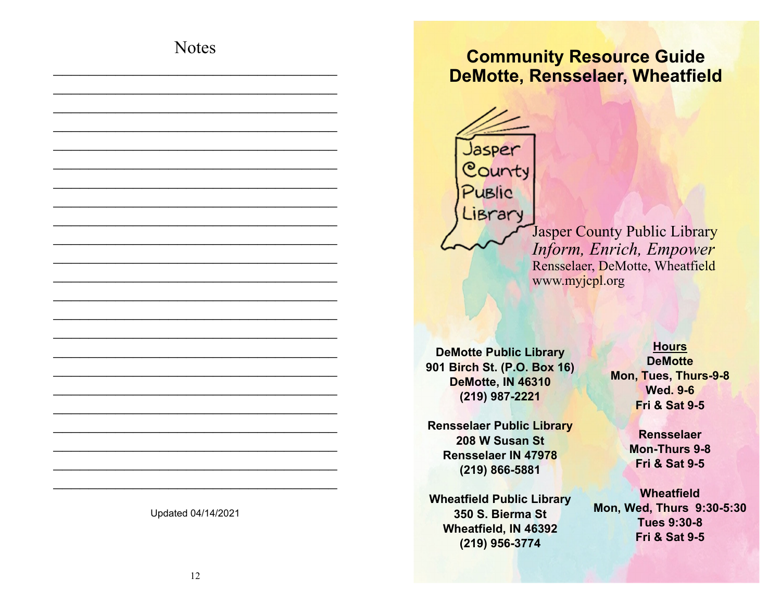## **Notes**

 $\_$  , and the set of the set of the set of the set of the set of the set of the set of the set of the set of the set of the set of the set of the set of the set of the set of the set of the set of the set of the set of th  $\_$  , and the set of the set of the set of the set of the set of the set of the set of the set of the set of the set of the set of the set of the set of the set of the set of the set of the set of the set of the set of th  $\_$  , and the set of the set of the set of the set of the set of the set of the set of the set of the set of the set of the set of the set of the set of the set of the set of the set of the set of the set of the set of th  $\_$  , and the set of the set of the set of the set of the set of the set of the set of the set of the set of the set of the set of the set of the set of the set of the set of the set of the set of the set of the set of th  $\_$  . The set of the set of the set of the set of the set of the set of the set of the set of the set of the set of the set of the set of the set of the set of the set of the set of the set of the set of the set of the se  $\_$  . The set of the set of the set of the set of the set of the set of the set of the set of the set of the set of the set of the set of the set of the set of the set of the set of the set of the set of the set of the se  $\_$  , and the set of the set of the set of the set of the set of the set of the set of the set of the set of the set of the set of the set of the set of the set of the set of the set of the set of the set of the set of th  $\_$  , and the set of the set of the set of the set of the set of the set of the set of the set of the set of the set of the set of the set of the set of the set of the set of the set of the set of the set of the set of th  $\_$  , and the set of the set of the set of the set of the set of the set of the set of the set of the set of the set of the set of the set of the set of the set of the set of the set of the set of the set of the set of th  $\_$  . The set of the set of the set of the set of the set of the set of the set of the set of the set of the set of the set of the set of the set of the set of the set of the set of the set of the set of the set of the se  $\_$  . The set of the set of the set of the set of the set of the set of the set of the set of the set of the set of the set of the set of the set of the set of the set of the set of the set of the set of the set of the se  $\_$  . The set of the set of the set of the set of the set of the set of the set of the set of the set of the set of the set of the set of the set of the set of the set of the set of the set of the set of the set of the se  $\_$  , and the set of the set of the set of the set of the set of the set of the set of the set of the set of the set of the set of the set of the set of the set of the set of the set of the set of the set of the set of th  $\_$  , and the set of the set of the set of the set of the set of the set of the set of the set of the set of the set of the set of the set of the set of the set of the set of the set of the set of the set of the set of th  $\_$  , and the set of the set of the set of the set of the set of the set of the set of the set of the set of the set of the set of the set of the set of the set of the set of the set of the set of the set of the set of th  $\_$  . The set of the set of the set of the set of the set of the set of the set of the set of the set of the set of the set of the set of the set of the set of the set of the set of the set of the set of the set of the se  $\_$  . The set of the set of the set of the set of the set of the set of the set of the set of the set of the set of the set of the set of the set of the set of the set of the set of the set of the set of the set of the se  $\_$  . The set of the set of the set of the set of the set of the set of the set of the set of the set of the set of the set of the set of the set of the set of the set of the set of the set of the set of the set of the se  $\_$  , and the set of the set of the set of the set of the set of the set of the set of the set of the set of the set of the set of the set of the set of the set of the set of the set of the set of the set of the set of th  $\_$  , and the set of the set of the set of the set of the set of the set of the set of the set of the set of the set of the set of the set of the set of the set of the set of the set of the set of the set of the set of th  $\_$  , and the set of the set of the set of the set of the set of the set of the set of the set of the set of the set of the set of the set of the set of the set of the set of the set of the set of the set of the set of th  $\_$  , and the set of the set of the set of the set of the set of the set of the set of the set of the set of the set of the set of the set of the set of the set of the set of the set of the set of the set of the set of th  $\_$  . The set of the set of the set of the set of the set of the set of the set of the set of the set of the set of the set of the set of the set of the set of the set of the set of the set of the set of the set of the se

## **Community Resource Guide DeMotte, Rensselaer, Wheatfield**

Jasper County Public Library

> Jasper County Public Library *Inform, Enrich, Empower* Rensselaer, DeMotte, Wheatfield www.myjcpl.org

**DeMotte Public Library 901 Birch St. (P.O. Box 16) DeMotte, IN 46310 (219) 987-2221** 

**Rensselaer Public Library 208 W Susan St Rensselaer IN 47978 (219) 866-5881** 

**Wheatfield Public Library 350 S. Bierma St Wheatfield, IN 46392 (219) 956-3774** 

**Hours DeMotte Mon, Tues, Thurs-9-8 Wed. 9-6 Fri & Sat 9-5** 

> **Rensselaer Mon-Thurs 9-8 Fri & Sat 9-5**

**Wheatfield Mon, Wed, Thurs 9:30-5:30 Tues 9:30-8 Fri & Sat 9-5** 

Updated 04/14/2021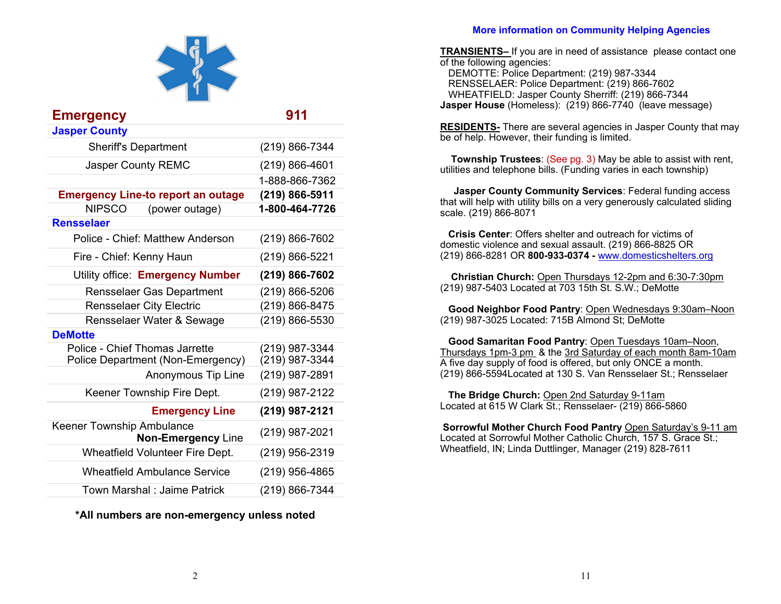

| <b>Emergency</b>                                                    | 911                              |
|---------------------------------------------------------------------|----------------------------------|
| <b>Jasper County</b>                                                |                                  |
| <b>Sheriff's Department</b>                                         | (219) 866-7344                   |
| <b>Jasper County REMC</b>                                           | (219) 866-4601                   |
|                                                                     | 1-888-866-7362                   |
| <b>Emergency Line-to report an outage</b>                           | (219) 866-5911                   |
| <b>NIPSCO</b><br>(power outage)                                     | 1-800-464-7726                   |
| <b>Rensselaer</b>                                                   |                                  |
| Police - Chief: Matthew Anderson                                    | (219) 866-7602                   |
| Fire - Chief: Kenny Haun                                            | (219) 866-5221                   |
| Utility office: Emergency Number                                    | (219) 866-7602                   |
| <b>Rensselaer Gas Department</b>                                    | (219) 866-5206                   |
| <b>Rensselaer City Electric</b>                                     | (219) 866-8475                   |
| Rensselaer Water & Sewage                                           | (219) 866-5530                   |
| <b>DeMotte</b>                                                      |                                  |
| Police - Chief Thomas Jarrette<br>Police Department (Non-Emergency) | (219) 987-3344<br>(219) 987-3344 |
| <b>Anonymous Tip Line</b>                                           | (219) 987-2891                   |
| Keener Township Fire Dept.                                          | (219) 987-2122                   |
| <b>Emergency Line</b>                                               | (219) 987-2121                   |
| Keener Township Ambulance<br><b>Non-Emergency Line</b>              | (219) 987-2021                   |
| <b>Wheatfield Volunteer Fire Dept.</b>                              | (219) 956-2319                   |
| <b>Wheatfield Ambulance Service</b>                                 | (219) 956-4865                   |
| Town Marshal: Jaime Patrick                                         | (219) 866-7344                   |

**\*All numbers are non-emergency unless noted** 

## **More information on Community Helping Agencies**

**TRANSIENTS–** If you are in need of assistance please contact one of the following agencies:

 DEMOTTE: Police Department: (219) 987-3344 RENSSELAER: Police Department: (219) 866-7602 WHEATFIELD: Jasper County Sherriff: (219) 866-7344 **Jasper House** (Homeless): (219) 866-7740 (leave message)

**RESIDENTS-** There are several agencies in Jasper County that may be of help. However, their funding is limited.

**Township Trustees**: (See pg. 3) May be able to assist with rent, utilities and telephone bills. (Funding varies in each township)

**Jasper County Community Services**: Federal funding access that will help with utility bills on a very generously calculated sliding scale. (219) 866-8071

**Crisis Center**: Offers shelter and outreach for victims of domestic violence and sexual assault. (219) 866-8825 OR (219) 866-8281 OR **800-933-0374 -** www.domesticshelters.org

 **Christian Church:** Open Thursdays 12-2pm and 6:30-7:30pm (219) 987-5403 Located at 703 15th St. S.W.; DeMotte

**Good Neighbor Food Pantry**: Open Wednesdays 9:30am–Noon (219) 987-3025 Located: 715B Almond St; DeMotte

**Good Samaritan Food Pantry**: Open Tuesdays 10am–Noon, Thursdays 1pm-3 pm & the 3rd Saturday of each month 8am-10am A five day supply of food is offered, but only ONCE a month. (219) 866-5594Located at 130 S. Van Rensselaer St.; Rensselaer

**The Bridge Church:** Open 2nd Saturday 9-11am Located at 615 W Clark St.; Rensselaer- (219) 866-5860

**Sorrowful Mother Church Food Pantry** Open Saturday's 9-11 am Located at Sorrowful Mother Catholic Church, 157 S. Grace St.; Wheatfield, IN; Linda Duttlinger, Manager (219) 828-7611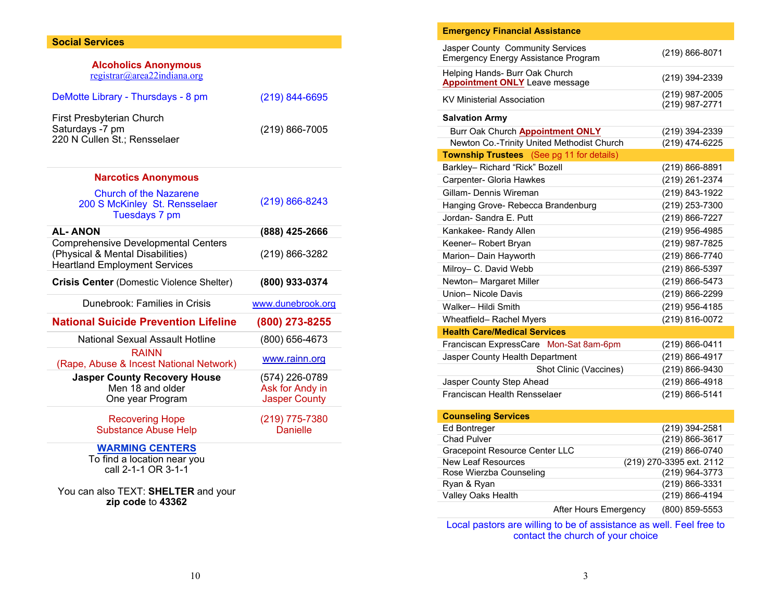## **Social Services**

| <b>Alcoholics Anonymous</b><br>registrar@area22indiana.org                                                             |                                   |
|------------------------------------------------------------------------------------------------------------------------|-----------------------------------|
| DeMotte Library - Thursdays - 8 pm                                                                                     | (219) 844-6695                    |
| First Presbyterian Church<br>Saturdays -7 pm<br>220 N Cullen St.; Rensselaer                                           | $(219) 866 - 7005$                |
| <b>Narcotics Anonymous</b>                                                                                             |                                   |
| <b>Church of the Nazarene</b><br>200 S McKinley St. Rensselaer<br>Tuesdays 7 pm                                        | $(219) 866 - 8243$                |
| <b>AL-ANON</b>                                                                                                         | (888) 425-2666                    |
| <b>Comprehensive Developmental Centers</b><br>(Physical & Mental Disabilities)<br><b>Heartland Employment Services</b> | (219) 866-3282                    |
|                                                                                                                        |                                   |
| <b>Crisis Center</b> (Domestic Violence Shelter)                                                                       | (800) 933-0374                    |
| Dunebrook: Families in Crisis                                                                                          | www.dunebrook.org                 |
| <b>National Suicide Prevention Lifeline</b>                                                                            | (800) 273-8255                    |
| <b>National Sexual Assault Hotline</b>                                                                                 | (800) 656-4673                    |
| <b>RAINN</b><br>(Rape, Abuse & Incest National Network)                                                                | www.rainn.org                     |
| <b>Jasper County Recovery House</b>                                                                                    | (574) 226-0789                    |
| Men 18 and older                                                                                                       | Ask for Andy in                   |
| One year Program                                                                                                       | <b>Jasper County</b>              |
| <b>Recovering Hope</b><br><b>Substance Abuse Help</b>                                                                  | (219) 775-7380<br><b>Danielle</b> |

You can also TEXT: **SHELTER** and your **zip code** to **43362**

| <b>Emergency Financial Assistance</b>                                          |                                  |
|--------------------------------------------------------------------------------|----------------------------------|
| Jasper County Community Services<br><b>Emergency Energy Assistance Program</b> | (219) 866-8071                   |
| Helping Hands- Burr Oak Church<br><b>Appointment ONLY</b> Leave message        | (219) 394-2339                   |
| <b>KV Ministerial Association</b>                                              | (219) 987-2005<br>(219) 987-2771 |
| <b>Salvation Army</b>                                                          |                                  |
| Burr Oak Church Appointment ONLY                                               | (219) 394-2339                   |
| Newton Co.-Trinity United Methodist Church                                     | (219) 474-6225                   |
| Township Trustees (See pg 11 for details)                                      |                                  |
| Barkley- Richard "Rick" Bozell                                                 | (219) 866-8891                   |
| Carpenter- Gloria Hawkes                                                       | (219) 261-2374                   |
| Gillam- Dennis Wireman                                                         | (219) 843-1922                   |
| Hanging Grove- Rebecca Brandenburg                                             | (219) 253-7300                   |
| Jordan- Sandra E. Putt                                                         | (219) 866-7227                   |
| Kankakee- Randy Allen                                                          | (219) 956-4985                   |
| Keener-Robert Bryan                                                            | (219) 987-7825                   |
| Marion- Dain Hayworth                                                          | (219) 866-7740                   |
| Milroy- C. David Webb                                                          | (219) 866-5397                   |
| Newton-Margaret Miller                                                         | (219) 866-5473                   |
| Union-Nicole Davis                                                             | (219) 866-2299                   |
| Walker- Hildi Smith                                                            | (219) 956-4185                   |
| Wheatfield- Rachel Myers                                                       | (219) 816-0072                   |
| <b>Health Care/Medical Services</b>                                            |                                  |
| Franciscan ExpressCare Mon-Sat 8am-6pm                                         | (219) 866-0411                   |
| Jasper County Health Department                                                | (219) 866-4917                   |
| Shot Clinic (Vaccines)                                                         | (219) 866-9430                   |
| Jasper County Step Ahead                                                       | (219) 866-4918                   |
| Franciscan Health Rensselaer                                                   | (219) 866-5141                   |
| <b>Counseling Services</b>                                                     |                                  |
| <b>Ed Bontreger</b>                                                            | (219) 394-2581                   |

| <b>OUTSETTLY OF VICES</b>      |                       |                          |
|--------------------------------|-----------------------|--------------------------|
| Ed Bontreger                   |                       | (219) 394-2581           |
| <b>Chad Pulver</b>             |                       | (219) 866-3617           |
| Gracepoint Resource Center LLC |                       | (219) 866-0740           |
| New Leaf Resources             |                       | (219) 270-3395 ext. 2112 |
| Rose Wierzba Counseling        |                       | (219) 964-3773           |
| Ryan & Ryan                    |                       | (219) 866-3331           |
| Valley Oaks Health             |                       | (219) 866-4194           |
|                                | After Hours Emergency | (800) 859-5553           |

Local pastors are willing to be of assistance as well. Feel free to contact the church of your choice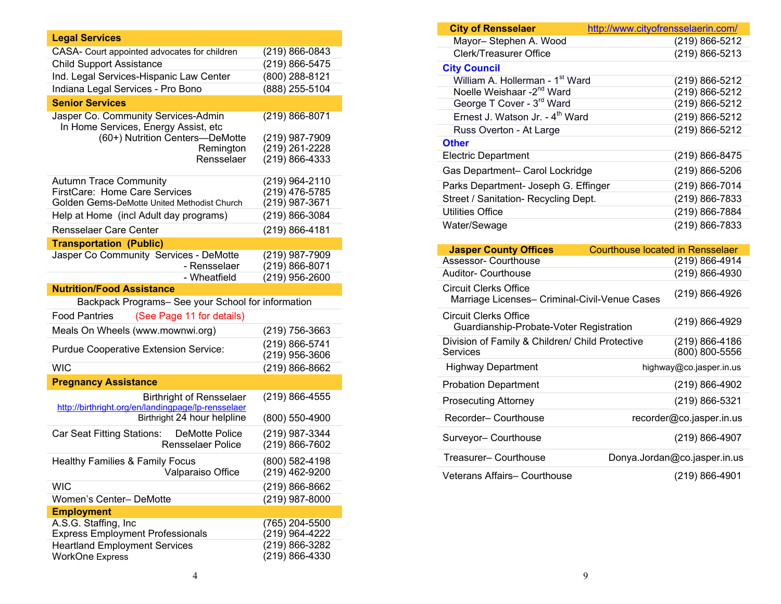| <b>Legal Services</b>                                                                 |                                      |
|---------------------------------------------------------------------------------------|--------------------------------------|
| CASA- Court appointed advocates for children                                          | (219) 866-0843                       |
| <b>Child Support Assistance</b>                                                       | (219) 866-5475                       |
| Ind. Legal Services-Hispanic Law Center                                               | (800) 288-8121                       |
| Indiana Legal Services - Pro Bono                                                     | (888) 255-5104                       |
| <b>Senior Services</b>                                                                |                                      |
| Jasper Co. Community Services-Admin                                                   | (219) 866-8071                       |
| In Home Services, Energy Assist, etc                                                  |                                      |
| (60+) Nutrition Centers-DeMotte                                                       | (219) 987-7909                       |
| Remington                                                                             | (219) 261-2228                       |
| Rensselaer                                                                            | (219) 866-4333                       |
| <b>Autumn Trace Community</b>                                                         | (219) 964-2110                       |
| FirstCare: Home Care Services                                                         | (219) 476-5785                       |
| Golden Gems-DeMotte United Methodist Church                                           | (219) 987-3671                       |
| Help at Home (incl Adult day programs)                                                | (219) 866-3084                       |
| <b>Rensselaer Care Center</b>                                                         | (219) 866-4181                       |
| <b>Transportation (Public)</b>                                                        |                                      |
| Jasper Co Community Services - DeMotte                                                | (219) 987-7909                       |
| - Rensselaer<br>- Wheatfield                                                          | $(219) 866 - 8071$                   |
| <b>Nutrition/Food Assistance</b>                                                      | (219) 956-2600                       |
| Backpack Programs- See your School for information                                    |                                      |
| <b>Food Pantries</b><br>(See Page 11 for details)                                     |                                      |
| Meals On Wheels (www.mownwi.org)                                                      | (219) 756-3663                       |
| Purdue Cooperative Extension Service:                                                 | (219) 866-5741<br>(219) 956-3606     |
| <b>WIC</b>                                                                            | (219) 866-8662                       |
| <b>Pregnancy Assistance</b>                                                           |                                      |
| <b>Birthright of Rensselaer</b><br>http://birthright.org/en/landingpage/lp-rensselaer | (219) 866-4555                       |
| Birthright 24 hour helpline                                                           | (800) 550-4900                       |
| Car Seat Fitting Stations:<br><b>DeMotte Police</b><br><b>Rensselaer Police</b>       | (219) 987-3344<br>$(219) 866 - 7602$ |
|                                                                                       | (800) 582-4198                       |
| <b>Healthy Families &amp; Family Focus</b><br>Valparaiso Office                       | (219) 462-9200                       |
| <b>WIC</b>                                                                            | (219) 866-8662                       |
| Women's Center- DeMotte                                                               | (219) 987-8000                       |
| <b>Employment</b>                                                                     |                                      |
| A.S.G. Staffing, Inc                                                                  | (765) 204-5500                       |
| <b>Express Employment Professionals</b><br><b>Heartland Employment Services</b>       | (219) 964-4222<br>(219) 866-3282     |
| <b>WorkOne Express</b>                                                                | (219) 866-4330                       |

| <b>City of Rensselaer</b>                                                     | <u>http://www.cityofrensselaerin.com/</u> |
|-------------------------------------------------------------------------------|-------------------------------------------|
| Mayor-Stephen A. Wood                                                         | (219) 866-5212                            |
| <b>Clerk/Treasurer Office</b>                                                 | (219) 866-5213                            |
| <b>City Council</b>                                                           |                                           |
| William A. Hollerman - 1 <sup>st</sup> Ward                                   | (219) 866-5212                            |
| Noelle Weishaar - 2 <sup>nd</sup> Ward                                        | (219) 866-5212                            |
| George T Cover - 3 <sup>rd</sup> Ward                                         | (219) 866-5212                            |
| Ernest J. Watson Jr. - 4 <sup>th</sup> Ward                                   | (219) 866-5212                            |
| Russ Overton - At Large                                                       | (219) 866-5212                            |
| <b>Other</b>                                                                  |                                           |
| <b>Electric Department</b>                                                    | (219) 866-8475                            |
| Gas Department- Carol Lockridge                                               | (219) 866-5206                            |
| Parks Department- Joseph G. Effinger                                          | (219) 866-7014                            |
| Street / Sanitation- Recycling Dept.                                          | (219) 866-7833                            |
| <b>Utilities Office</b>                                                       | (219) 866-7884                            |
| Water/Sewage                                                                  | (219) 866-7833                            |
|                                                                               |                                           |
| <b>Jasper County Offices</b>                                                  | <b>Courthouse located in Rensselaer</b>   |
| <b>Assessor- Courthouse</b>                                                   | (219) 866-4914                            |
| Auditor- Courthouse                                                           | (219) 866-4930                            |
| <b>Circuit Clerks Office</b><br>Marriage Licenses- Criminal-Civil-Venue Cases | (219) 866-4926                            |
| <b>Circuit Clerks Office</b><br>Guardianship-Probate-Voter Registration       | (219) 866-4929                            |
| Division of Family & Children/ Child Protective<br><b>Services</b>            | (219) 866-4186<br>(800) 800-5556          |
| <b>Highway Department</b>                                                     | highway@co.jasper.in.us                   |
| <b>Probation Department</b>                                                   | (219) 866-4902                            |
| <b>Prosecuting Attorney</b>                                                   | (219) 866-5321                            |
| Recorder-Courthouse                                                           | recorder@co.jasper.in.us                  |
| Surveyor- Courthouse                                                          | (219) 866-4907                            |
| Treasurer-Courthouse                                                          | Donya.Jordan@co.jasper.in.us              |
|                                                                               |                                           |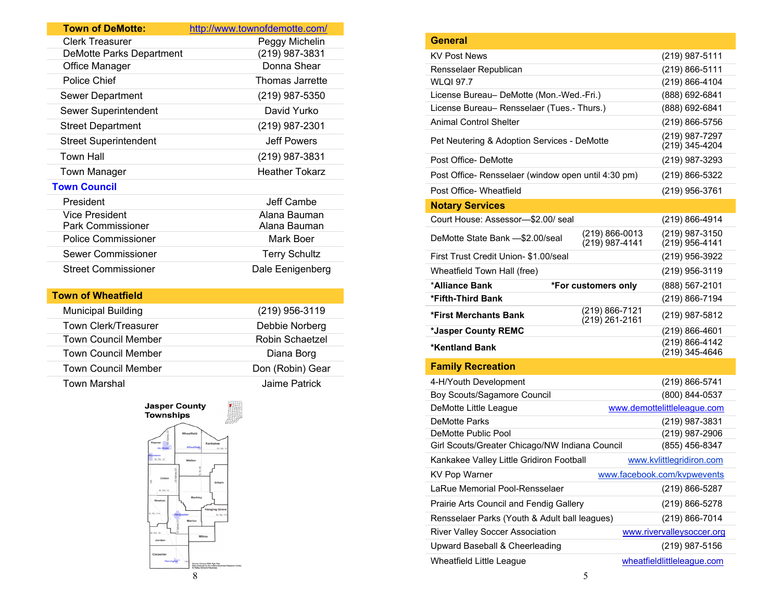| <b>Town of DeMotte:</b>         | http://www.townofdemotte.com/ |
|---------------------------------|-------------------------------|
| <b>Clerk Treasurer</b>          | Peggy Michelin                |
| <b>DeMotte Parks Department</b> | (219) 987-3831                |
| Office Manager                  | Donna Shear                   |
| Police Chief                    | Thomas Jarrette               |
| Sewer Department                | (219) 987-5350                |
| Sewer Superintendent            | David Yurko                   |
| <b>Street Department</b>        | (219) 987-2301                |
| <b>Street Superintendent</b>    | <b>Jeff Powers</b>            |
| <b>Town Hall</b>                | (219) 987-3831                |
| Town Manager                    | <b>Heather Tokarz</b>         |
| <b>Town Council</b>             |                               |
| President                       | Jeff Cambe                    |
| <b>Vice President</b>           | Alana Bauman                  |
| <b>Park Commissioner</b>        | Alana Bauman                  |
| <b>Police Commissioner</b>      | Mark Boer                     |
| Sewer Commissioner              | <b>Terry Schultz</b>          |
| <b>Street Commissioner</b>      | Dale Eenigenberg              |
| <b>Town of Whoatfiold</b>       |                               |

| (219) 956-3119   |
|------------------|
| Debbie Norberg   |
| Robin Schaetzel  |
| Diana Borg       |
| Don (Robin) Gear |
| Jaime Patrick    |
|                  |





| <b>General</b>                                      |                                  |                                    |
|-----------------------------------------------------|----------------------------------|------------------------------------|
| <b>KV Post News</b>                                 |                                  | (219) 987-5111                     |
| Rensselaer Republican                               |                                  | (219) 866-5111                     |
| <b>WLQI 97.7</b>                                    |                                  | (219) 866-4104                     |
| License Bureau- DeMotte (Mon.-Wed.-Fri.)            |                                  | (888) 692-6841                     |
| License Bureau- Rensselaer (Tues.- Thurs.)          |                                  | (888) 692-6841                     |
| Animal Control Shelter                              |                                  | (219) 866-5756                     |
| Pet Neutering & Adoption Services - DeMotte         |                                  | (219) 987-7297<br>(219) 345-4204   |
| Post Office-DeMotte                                 |                                  | (219) 987-3293                     |
| Post Office- Rensselaer (window open until 4:30 pm) |                                  | (219) 866-5322                     |
| Post Office- Wheatfield                             |                                  | (219) 956-3761                     |
| <b>Notary Services</b>                              |                                  |                                    |
| Court House: Assessor-\$2.00/ seal                  |                                  | (219) 866-4914                     |
| DeMotte State Bank -\$2,00/seal                     | (219) 866-0013<br>(219) 987-4141 | (219) 987-3150<br>$(219)$ 956-4141 |
| First Trust Credit Union- \$1.00/seal               |                                  | (219) 956-3922                     |
| Wheatfield Town Hall (free)                         |                                  | (219) 956-3119                     |
| *Alliance Bank                                      | *For customers only              | (888) 567-2101                     |
| *Fifth-Third Bank                                   |                                  | (219) 866-7194                     |
| *First Merchants Bank                               | (219) 866-7121<br>(219) 261-2161 | (219) 987-5812                     |
| *Jasper County REMC                                 |                                  | (219) 866-4601                     |
| <b>*Kentland Bank</b>                               |                                  | (219) 866-4142<br>(219) 345-4646   |
| <b>Family Recreation</b>                            |                                  |                                    |
| 4-H/Youth Development                               |                                  | (219) 866-5741                     |
| Boy Scouts/Sagamore Council                         |                                  | (800) 844-0537                     |
| DeMotte Little League                               |                                  | www.demottelittleleague.com        |
| <b>DeMotte Parks</b>                                |                                  | (219) 987-3831                     |
| DeMotte Public Pool                                 |                                  | (219) 987-2906                     |
| Girl Scouts/Greater Chicago/NW Indiana Council      |                                  | (855) 456-8347                     |
| Kankakee Valley Little Gridiron Football            |                                  | www.kvlittlegridiron.com           |
| <b>KV Pop Warner</b>                                |                                  | www.facebook.com/kvpwevents        |
| LaRue Memorial Pool-Rensselaer                      |                                  | (219) 866-5287                     |
| Prairie Arts Council and Fendig Gallery             |                                  | (219) 866-5278                     |
| Rensselaer Parks (Youth & Adult ball leagues)       |                                  | (219) 866-7014                     |
| River Valley Soccer Association                     |                                  | www.rivervalleysoccer.org          |
| Upward Baseball & Cheerleading                      |                                  | (219) 987-5156                     |
| Wheatfield Little League                            |                                  | wheatfieldlittleleague.com         |
|                                                     | 5                                |                                    |